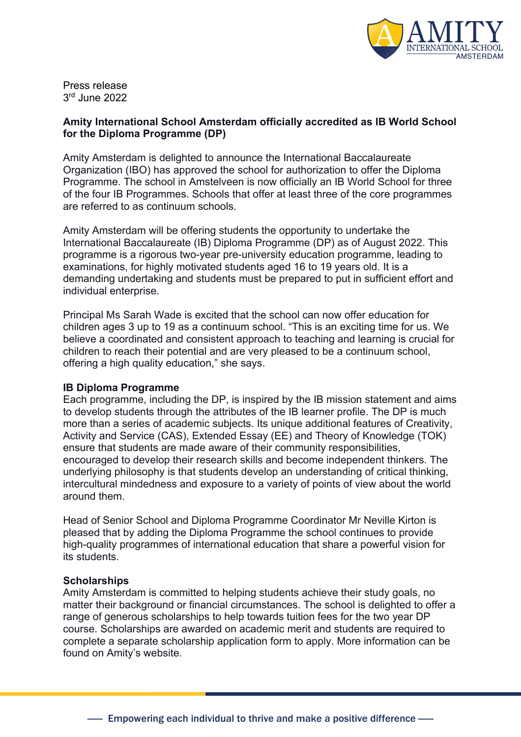

Press release 3rd June 2022

## **Amity International School Amsterdam officially accredited as IB World School for the Diploma Programme (DP)**

Amity Amsterdam is delighted to announce the International Baccalaureate Organization (IBO) has approved the school for authorization to offer the Diploma Programme. The school in Amstelveen is now officially an IB World School for three of the four IB Programmes. Schools that offer at least three of the core programmes are referred to as continuum schools.

Amity Amsterdam will be offering students the opportunity to undertake the International Baccalaureate (IB) Diploma Programme (DP) as of August 2022. This programme is a rigorous two-year pre-university education programme, leading to examinations, for highly motivated students aged 16 to 19 years old. It is a demanding undertaking and students must be prepared to put in sufficient effort and individual enterprise.

Principal Ms Sarah Wade is excited that the school can now offer education for children ages 3 up to 19 as a continuum school. "This is an exciting time for us. We believe a coordinated and consistent approach to teaching and learning is crucial for children to reach their potential and are very pleased to be a continuum school, offering a high quality education," she says.

## **IB Diploma Programme**

Each programme, including the DP, is inspired by the IB mission statement and aims to develop students through the attributes of the IB learner profile. The DP is much more than a series of academic subjects. Its unique additional features of Creativity, Activity and Service (CAS), Extended Essay (EE) and Theory of Knowledge (TOK) ensure that students are made aware of their community responsibilities, encouraged to develop their research skills and become independent thinkers. The underlying philosophy is that students develop an understanding of critical thinking, intercultural mindedness and exposure to a variety of points of view about the world around them.

Head of Senior School and Diploma Programme Coordinator Mr Neville Kirton is pleased that by adding the Diploma Programme the school continues to provide high-quality programmes of international education that share a powerful vision for its students.

## **Scholarships**

Amity Amsterdam is committed to helping students achieve their study goals, no matter their background or financial circumstances. The school is delighted to offer a range of generous scholarships to help towards tuition fees for the two year DP course. Scholarships are awarded on academic merit and students are required to complete a separate scholarship application form to apply. More information can be found on Amity's website.